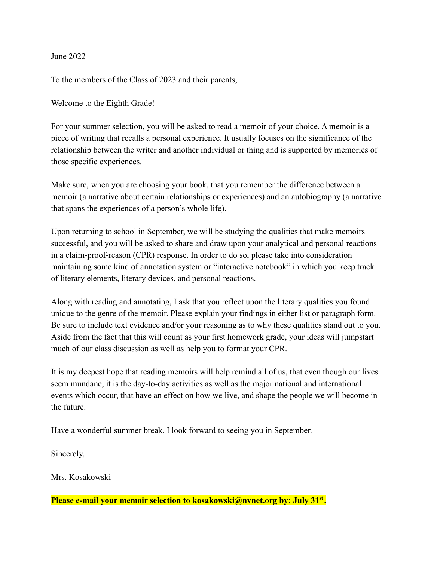June 2022

To the members of the Class of 2023 and their parents,

Welcome to the Eighth Grade!

For your summer selection, you will be asked to read a memoir of your choice. A memoir is a piece of writing that recalls a personal experience. It usually focuses on the significance of the relationship between the writer and another individual or thing and is supported by memories of those specific experiences.

Make sure, when you are choosing your book, that you remember the difference between a memoir (a narrative about certain relationships or experiences) and an autobiography (a narrative that spans the experiences of a person's whole life).

Upon returning to school in September, we will be studying the qualities that make memoirs successful, and you will be asked to share and draw upon your analytical and personal reactions in a claim-proof-reason (CPR) response. In order to do so, please take into consideration maintaining some kind of annotation system or "interactive notebook" in which you keep track of literary elements, literary devices, and personal reactions.

Along with reading and annotating, I ask that you reflect upon the literary qualities you found unique to the genre of the memoir. Please explain your findings in either list or paragraph form. Be sure to include text evidence and/or your reasoning as to why these qualities stand out to you. Aside from the fact that this will count as your first homework grade, your ideas will jumpstart much of our class discussion as well as help you to format your CPR.

It is my deepest hope that reading memoirs will help remind all of us, that even though our lives seem mundane, it is the day-to-day activities as well as the major national and international events which occur, that have an effect on how we live, and shape the people we will become in the future.

Have a wonderful summer break. I look forward to seeing you in September.

Sincerely,

Mrs. Kosakowski

**Please e-mail your memoir selection to kosakowski@nvnet.org by: July 31st .**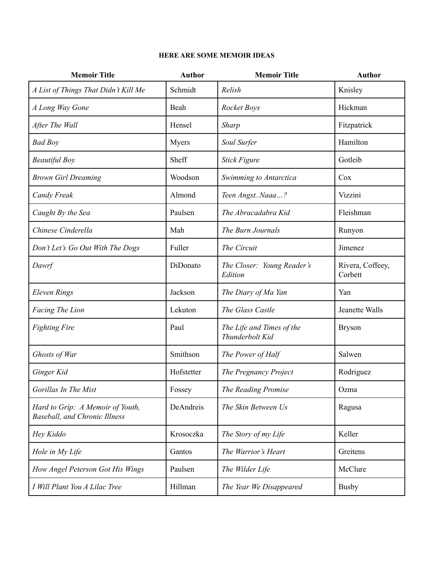## **HERE ARE SOME MEMOIR IDEAS**

| <b>Memoir Title</b>                                                      | <b>Author</b> | <b>Memoir Title</b>                          | <b>Author</b>               |
|--------------------------------------------------------------------------|---------------|----------------------------------------------|-----------------------------|
| A List of Things That Didn't Kill Me                                     | Schmidt       | Relish                                       | Knisley                     |
| A Long Way Gone                                                          | Beah          | Rocket Boys                                  | Hickman                     |
| After The Wall                                                           | Hensel        | <b>Sharp</b>                                 | Fitzpatrick                 |
| <b>Bad Boy</b>                                                           | Myers         | Soul Surfer                                  | Hamilton                    |
| <b>Beautiful Boy</b>                                                     | Sheff         | <b>Stick Figure</b>                          | Gotleib                     |
| <b>Brown Girl Dreaming</b>                                               | Woodson       | Swimming to Antarctica                       | Cox                         |
| <b>Candy Freak</b>                                                       | Almond        | Teen AngstNaaa?                              | Vizzini                     |
| Caught By the Sea                                                        | Paulsen       | The Abracadabra Kid                          | Fleishman                   |
| Chinese Cinderella                                                       | Mah           | The Burn Journals                            | Runyon                      |
| Don't Let's Go Out With The Dogs                                         | Fuller        | The Circuit                                  | Jimenez                     |
| Dawrf                                                                    | DiDonato      | The Closer: Young Reader's<br>Edition        | Rivera, Coffeey,<br>Corbett |
| <b>Eleven Rings</b>                                                      | Jackson       | The Diary of Ma Yan                          | Yan                         |
| Facing The Lion                                                          | Lekuton       | The Glass Castle                             | Jeanette Walls              |
| <b>Fighting Fire</b>                                                     | Paul          | The Life and Times of the<br>Thunderbolt Kid | <b>Bryson</b>               |
| Ghosts of War                                                            | Smithson      | The Power of Half                            | Salwen                      |
| Ginger Kid                                                               | Hofstetter    | The Pregnancy Project                        | Rodriguez                   |
| Gorillas In The Mist                                                     | Fossey        | The Reading Promise                          | Ozma                        |
| Hard to Grip: A Memoir of Youth,<br><b>Baseball, and Chronic Illness</b> | DeAndreis     | The Skin Between Us                          | Ragusa                      |
| Hey Kiddo                                                                | Krosoczka     | The Story of my Life                         | Keller                      |
| Hole in My Life                                                          | Gantos        | The Warrior's Heart                          | Greitens                    |
| How Angel Peterson Got His Wings                                         | Paulsen       | The Wilder Life                              | McClure                     |
| I Will Plant You A Lilac Tree                                            | Hillman       | The Year We Disappeared                      | <b>Busby</b>                |